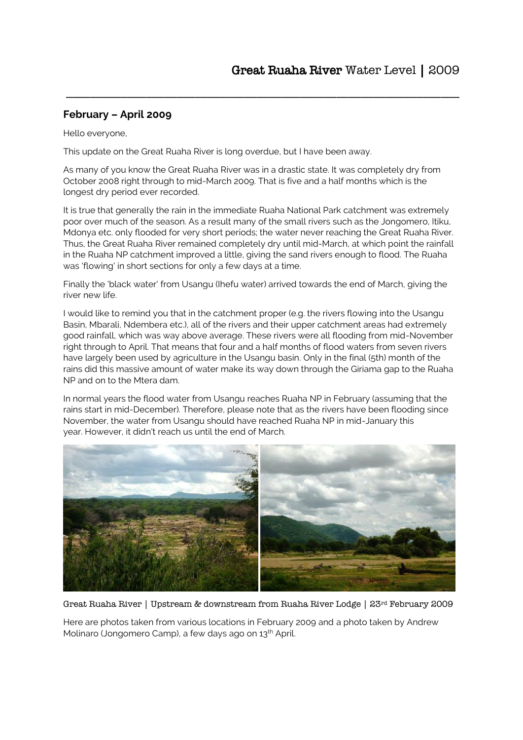## **February – April 2009**

Hello everyone,

This update on the Great Ruaha River is long overdue, but I have been away.

As many of you know the Great Ruaha River was in a drastic state. It was completely dry from October 2008 right through to mid-March 2009. That is five and a half months which is the longest dry period ever recorded.

\_\_\_\_\_\_\_\_\_\_\_\_\_\_\_\_\_\_\_\_\_\_\_\_\_\_\_\_\_\_\_\_\_\_\_\_\_\_\_\_\_\_\_\_\_\_\_\_\_\_\_\_\_\_\_\_\_\_\_\_\_\_\_\_

It is true that generally the rain in the immediate Ruaha National Park catchment was extremely poor over much of the season. As a result many of the small rivers such as the Jongomero, Itiku, Mdonya etc. only flooded for very short periods; the water never reaching the Great Ruaha River. Thus, the Great Ruaha River remained completely dry until mid-March, at which point the rainfall in the Ruaha NP catchment improved a little, giving the sand rivers enough to flood. The Ruaha was 'flowing' in short sections for only a few days at a time.

Finally the 'black water' from Usangu (Ihefu water) arrived towards the end of March, giving the river new life.

I would like to remind you that in the catchment proper (e.g. the rivers flowing into the Usangu Basin, Mbarali, Ndembera etc.), all of the rivers and their upper catchment areas had extremely good rainfall, which was way above average. These rivers were all flooding from mid-November right through to April. That means that four and a half months of flood waters from seven rivers have largely been used by agriculture in the Usangu basin. Only in the final (5th) month of the rains did this massive amount of water make its way down through the Giriama gap to the Ruaha NP and on to the Mtera dam.

In normal years the flood water from Usangu reaches Ruaha NP in February (assuming that the rains start in mid-December). Therefore, please note that as the rivers have been flooding since November, the water from Usangu should have reached Ruaha NP in mid-January this year. However, it didn't reach us until the end of March.



Great Ruaha River | Upstream & downstream from Ruaha River Lodge | 23rd February 2009

Here are photos taken from various locations in February 2009 and a photo taken by Andrew Molinaro (Jongomero Camp), a few days ago on 13<sup>th</sup> April.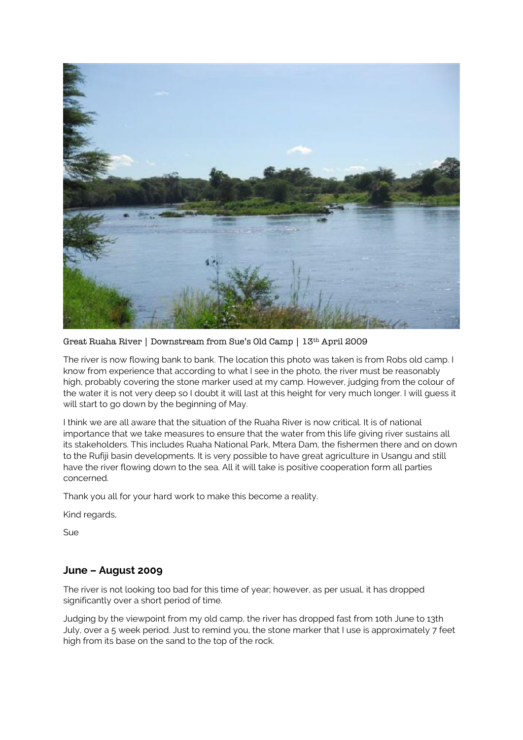

Great Ruaha River | Downstream from Sue's Old Camp | 13th April 2009

The river is now flowing bank to bank. The location this photo was taken is from Robs old camp. I know from experience that according to what I see in the photo, the river must be reasonably high, probably covering the stone marker used at my camp. However, judging from the colour of the water it is not very deep so I doubt it will last at this height for very much longer. I will guess it will start to go down by the beginning of May.

I think we are all aware that the situation of the Ruaha River is now critical. It is of national importance that we take measures to ensure that the water from this life giving river sustains all its stakeholders. This includes Ruaha National Park, Mtera Dam, the fishermen there and on down to the Rufiji basin developments. It is very possible to have great agriculture in Usangu and still have the river flowing down to the sea. All it will take is positive cooperation form all parties concerned.

Thank you all for your hard work to make this become a reality.

Kind regards,

Sue

## **June – August 2009**

The river is not looking too bad for this time of year; however, as per usual, it has dropped significantly over a short period of time.

Judging by the viewpoint from my old camp, the river has dropped fast from 10th June to 13th July, over a 5 week period. Just to remind you, the stone marker that I use is approximately 7 feet high from its base on the sand to the top of the rock.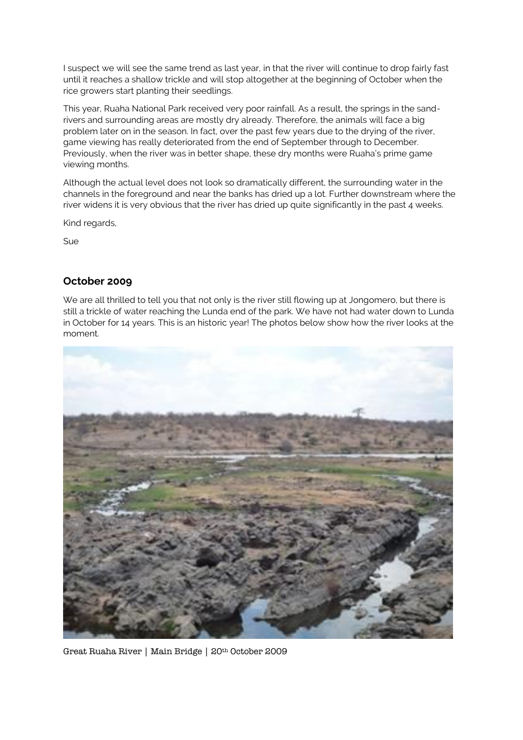I suspect we will see the same trend as last year, in that the river will continue to drop fairly fast until it reaches a shallow trickle and will stop altogether at the beginning of October when the rice growers start planting their seedlings.

This year, Ruaha National Park received very poor rainfall. As a result, the springs in the sandrivers and surrounding areas are mostly dry already. Therefore, the animals will face a big problem later on in the season. In fact, over the past few years due to the drying of the river, game viewing has really deteriorated from the end of September through to December. Previously, when the river was in better shape, these dry months were Ruaha's prime game viewing months.

Although the actual level does not look so dramatically different, the surrounding water in the channels in the foreground and near the banks has dried up a lot. Further downstream where the river widens it is very obvious that the river has dried up quite significantly in the past 4 weeks.

Kind regards,

Sue

## **October 2009**

We are all thrilled to tell you that not only is the river still flowing up at Jongomero, but there is still a trickle of water reaching the Lunda end of the park. We have not had water down to Lunda in October for 14 years. This is an historic year! The photos below show how the river looks at the moment.



Great Ruaha River | Main Bridge | 20th October 2009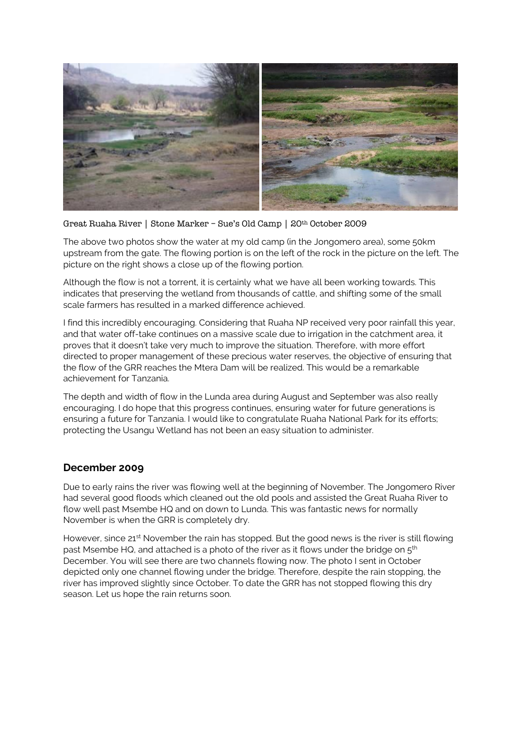

Great Ruaha River | Stone Marker – Sue's Old Camp | 20th October 2009

The above two photos show the water at my old camp (in the Jongomero area), some 50km upstream from the gate. The flowing portion is on the left of the rock in the picture on the left. The picture on the right shows a close up of the flowing portion.

Although the flow is not a torrent, it is certainly what we have all been working towards. This indicates that preserving the wetland from thousands of cattle, and shifting some of the small scale farmers has resulted in a marked difference achieved.

I find this incredibly encouraging. Considering that Ruaha NP received very poor rainfall this year, and that water off-take continues on a massive scale due to irrigation in the catchment area, it proves that it doesn't take very much to improve the situation. Therefore, with more effort directed to proper management of these precious water reserves, the objective of ensuring that the flow of the GRR reaches the Mtera Dam will be realized. This would be a remarkable achievement for Tanzania.

The depth and width of flow in the Lunda area during August and September was also really encouraging. I do hope that this progress continues, ensuring water for future generations is ensuring a future for Tanzania. I would like to congratulate Ruaha National Park for its efforts; protecting the Usangu Wetland has not been an easy situation to administer.

## **December 2009**

Due to early rains the river was flowing well at the beginning of November. The Jongomero River had several good floods which cleaned out the old pools and assisted the Great Ruaha River to flow well past Msembe HQ and on down to Lunda. This was fantastic news for normally November is when the GRR is completely dry.

However, since 21<sup>st</sup> November the rain has stopped. But the good news is the river is still flowing past Msembe HQ, and attached is a photo of the river as it flows under the bridge on  $5<sup>th</sup>$ December. You will see there are two channels flowing now. The photo I sent in October depicted only one channel flowing under the bridge. Therefore, despite the rain stopping, the river has improved slightly since October. To date the GRR has not stopped flowing this dry season. Let us hope the rain returns soon.